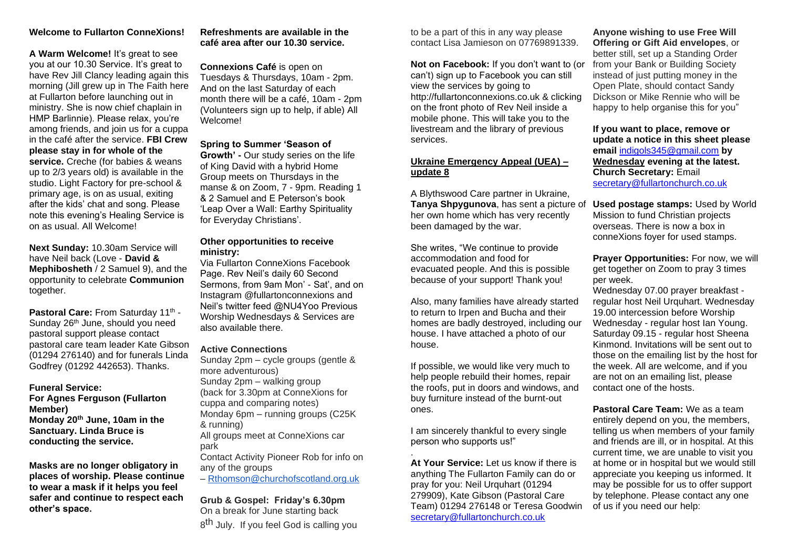## **Welcome to Fullarton ConneXions!**

**A Warm Welcome!** It's great to see you at our 10.30 Service. It's great to have Rev Jill Clancy leading again this morning (Jill grew up in The Faith here at Fullarton before launching out in ministry. She is now chief chaplain in HMP Barlinnie). Please relax, you're among friends, and join us for a cuppa in the café after the service. **FBI Crew please stay in for whole of the service.** Creche (for babies & weans up to 2/3 years old) is available in the studio. Light Factory for pre-school & primary age, is on as usual, exiting after the kids' chat and song. Please note this evening's Healing Service is on as usual. All Welcome!

**Next Sunday:** 10.30am Service will have Neil back (Love - **David & Mephibosheth** / 2 Samuel 9), and the opportunity to celebrate **Communion**  together.

**Pastoral Care: From Saturday 11th -**Sunday 26<sup>th</sup> June, should you need pastoral support please contact pastoral care team leader Kate Gibson (01294 276140) and for funerals Linda Godfrey (01292 442653). Thanks.

**Funeral Service:**

**For Agnes Ferguson (Fullarton Member) Monday 20th June, 10am in the Sanctuary. Linda Bruce is conducting the service.** 

**Masks are no longer obligatory in places of worship. Please continue to wear a mask if it helps you feel safer and continue to respect each other's space.** 

## **Refreshments are available in the café area after our 10.30 service.**

**Connexions Café** is open on Tuesdays & Thursdays, 10am - 2pm. And on the last Saturday of each month there will be a café, 10am - 2pm (Volunteers sign up to help, if able) All Welcome!

## **Spring to Summer 'Season of**

**Growth' -** Our study series on the life of King David with a hybrid Home Group meets on Thursdays in the manse & on Zoom, 7 - 9pm. Reading 1 & 2 Samuel and E Peterson's book 'Leap Over a Wall: Earthy Spirituality for Everyday Christians'.

#### **Other opportunities to receive ministry:**

Via Fullarton ConneXions Facebook Page. Rev Neil's daily 60 Second Sermons, from 9am Mon' - Sat', and on Instagram @fullartonconnexions and Neil's twitter feed @NU4Yoo Previous Worship Wednesdays & Services are also available there.

### **Active Connections**

Sunday 2pm – cycle groups (gentle & more adventurous) Sunday 2pm – walking group (back for 3.30pm at ConneXions for cuppa and comparing notes)

Monday 6pm – running groups (C25K & running)

All groups meet at ConneXions car park

Contact Activity Pioneer Rob for info on any of the groups

– [Rthomson@churchofscotland.org.uk](mailto:Rthomson@churchofscotland.org.uk)

**Grub & Gospel: Friday's 6.30pm** On a break for June starting back 8<sup>th</sup> July. If you feel God is calling you to be a part of this in any way please contact Lisa Jamieson on 07769891339.

**Not on Facebook:** If you don't want to (or can't) sign up to Facebook you can still view the services by going to http://fullartonconnexions.co.uk & clicking on the front photo of Rev Neil inside a mobile phone. This will take you to the livestream and the library of previous services.

## **Ukraine Emergency Appeal (UEA) – update 8**

A Blythswood Care partner in Ukraine, **Tanya Shpygunova**, has sent a picture of her own home which has very recently been damaged by the war.

She writes, "We continue to provide accommodation and food for evacuated people. And this is possible because of your support! Thank you!

Also, many families have already started to return to Irpen and Bucha and their homes are badly destroyed, including our house. I have attached a photo of our house.

If possible, we would like very much to help people rebuild their homes, repair the roofs, put in doors and windows, and buy furniture instead of the burnt-out ones.

I am sincerely thankful to every single person who supports us!"

. **At Your Service:** Let us know if there is anything The Fullarton Family can do or pray for you: Neil Urquhart (01294 279909), Kate Gibson (Pastoral Care Team) 01294 276148 or Teresa Goodwin [secretary@fullartonchurch.co.uk](mailto:secretary@fullartonchurch.co.uk)

**Anyone wishing to use Free Will Offering or Gift Aid envelopes**, or better still, set up a Standing Order from your Bank or Building Society instead of just putting money in the Open Plate, should contact Sandy Dickson or Mike Rennie who will be happy to help organise this for you"

**If you want to place, remove or update a notice in this sheet please email** [indigols345@gmail.com](mailto:indigols345@gmail.com) **by Wednesday evening at the latest. Church Secretary:** Email [secretary@fullartonchurch.co.uk](mailto:secretary@fullartonchurch.co.uk)

**Used postage stamps:** Used by World Mission to fund Christian projects overseas. There is now a box in conneXions foyer for used stamps.

**Prayer Opportunities:** For now, we will get together on Zoom to pray 3 times per week.

Wednesday 07.00 prayer breakfast regular host Neil Urquhart. Wednesday 19.00 intercession before Worship Wednesday - regular host Ian Young. Saturday 09.15 - regular host Sheena Kinmond. Invitations will be sent out to those on the emailing list by the host for the week. All are welcome, and if you are not on an emailing list, please contact one of the hosts.

**Pastoral Care Team:** We as a team entirely depend on you, the members, telling us when members of your family and friends are ill, or in hospital. At this current time, we are unable to visit you at home or in hospital but we would still appreciate you keeping us informed. It may be possible for us to offer support by telephone. Please contact any one of us if you need our help: